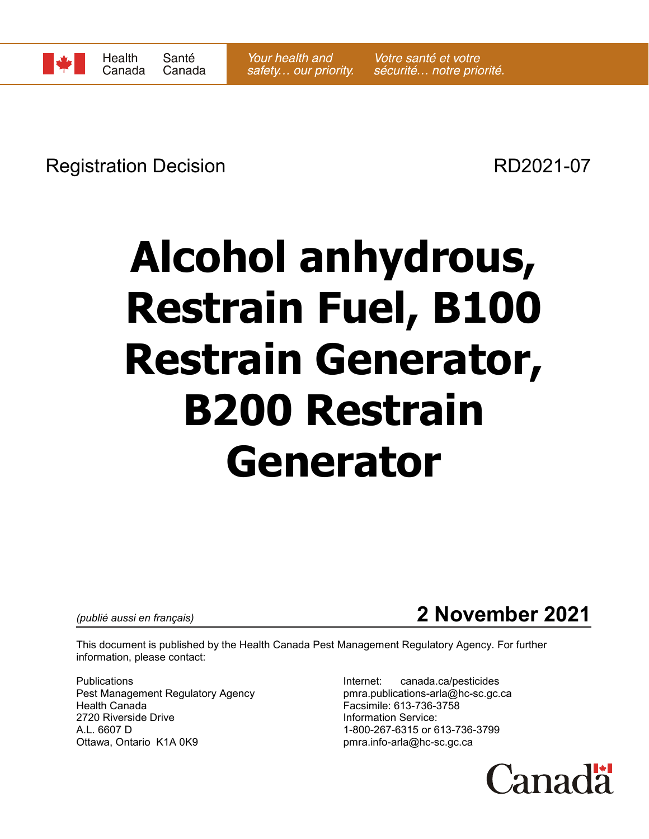

Registration Decision **RD2021-07** 

# **Alcohol anhydrous, Restrain Fuel, B100 Restrain Generator, B200 Restrain Generator**

## *(publié aussi en français)* **2 November 2021**

This document is published by the Health Canada Pest Management Regulatory Agency. For further information, please contact:

Publications **Internet:** canada.ca/pesticides Pest Management Regulatory Agency example pmra.publications-arla@hc-sc.gc.ca Health Canada Facsimile: 613-736-3758 2720 Riverside Drive **Information Service:** A.L. 6607 D 1-800-267-6315 or 613-736-3799 Ottawa, Ontario K1A 0K9 **butter and the set of the set of pmra.info-arla@hc-sc.gc.ca** 

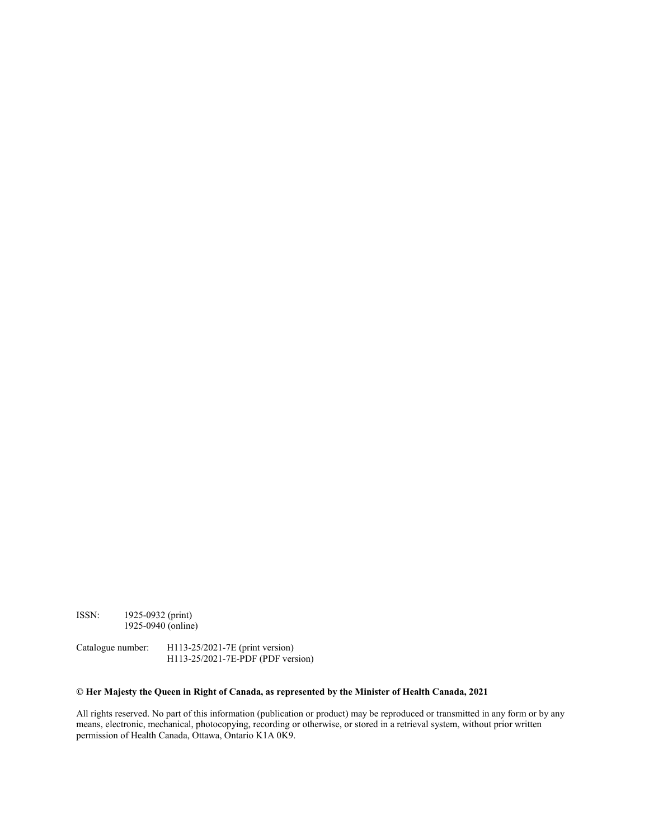ISSN: 1925-0932 (print) 1925-0940 (online)

Catalogue number: H113-25/2021-7E (print version) H113-25/2021-7E-PDF (PDF version)

#### **© Her Majesty the Queen in Right of Canada, as represented by the Minister of Health Canada, 2021**

All rights reserved. No part of this information (publication or product) may be reproduced or transmitted in any form or by any means, electronic, mechanical, photocopying, recording or otherwise, or stored in a retrieval system, without prior written permission of Health Canada, Ottawa, Ontario K1A 0K9.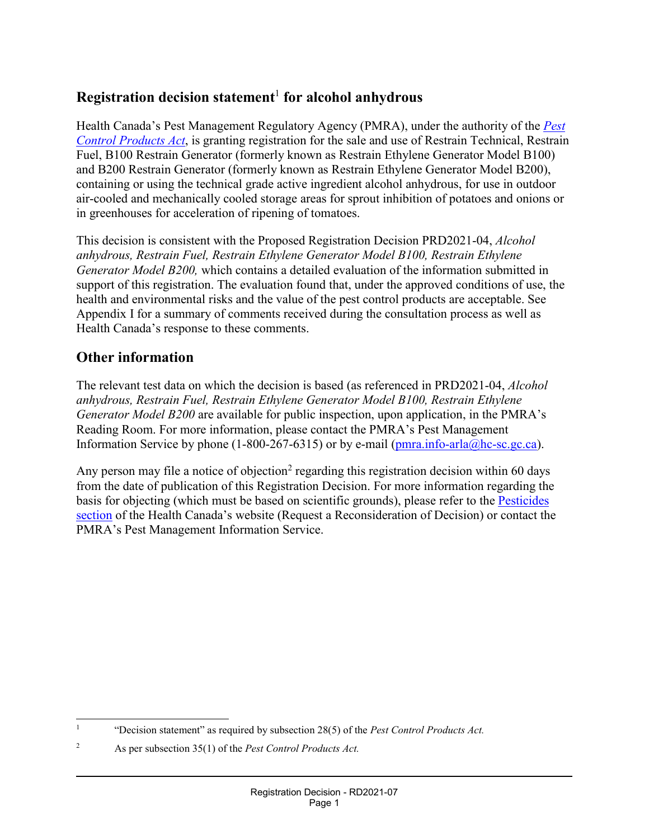#### **Registration decision statement**<sup>1</sup> **for alcohol anhydrous**

Health Canada's Pest Management Regulatory Agency (PMRA), under the authority of the *Pest Control Products Act*, is granting registration for the sale and use of Restrain Technical, Restrain Fuel, B100 Restrain Generator (formerly known as Restrain Ethylene Generator Model B100) and B200 Restrain Generator (formerly known as Restrain Ethylene Generator Model B200), containing or using the technical grade active ingredient alcohol anhydrous, for use in outdoor air-cooled and mechanically cooled storage areas for sprout inhibition of potatoes and onions or in greenhouses for acceleration of ripening of tomatoes.

This decision is consistent with the Proposed Registration Decision PRD2021-04, *Alcohol anhydrous, Restrain Fuel, Restrain Ethylene Generator Model B100, Restrain Ethylene Generator Model B200,* which contains a detailed evaluation of the information submitted in support of this registration. The evaluation found that, under the approved conditions of use, the health and environmental risks and the value of the pest control products are acceptable. See Appendix I for a summary of comments received during the consultation process as well as Health Canada's response to these comments.

#### **Other information**

The relevant test data on which the decision is based (as referenced in PRD2021-04, *Alcohol anhydrous, Restrain Fuel, Restrain Ethylene Generator Model B100, Restrain Ethylene Generator Model B200* are available for public inspection, upon application, in the PMRA's Reading Room. For more information, please contact the PMRA's Pest Management Information Service by phone (1-800-267-6315) or by e-mail ( $pma.info-arla@hc$ -sc.gc.ca).

Any person may file a notice of objection<sup>2</sup> regarding this registration decision within 60 days from the date of publication of this Registration Decision. For more information regarding the basis for objecting (which must be based on scientific grounds), please refer to the Pesticides section of the Health Canada's website (Request a Reconsideration of Decision) or contact the PMRA's Pest Management Information Service.

 <sup>1</sup> "Decision statement" as required by subsection 28(5) of the *Pest Control Products Act.*

<sup>2</sup> As per subsection 35(1) of the *Pest Control Products Act.*